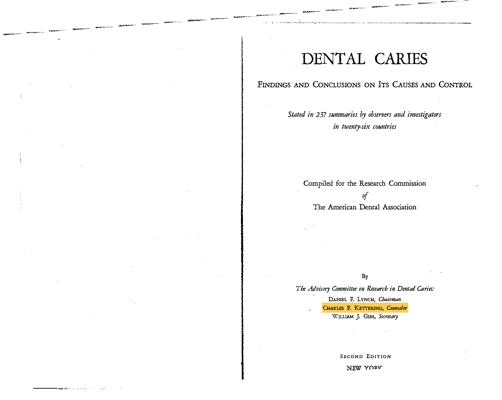# DENTAL CARIES

|...,.....

# FINDINGS AND CONCLUSIONS ON ITS CAUSES AND CONTROL

Stated in 237 summaries by observers and investigators in twenty-six countries

Compiled for the Research Commission of The American Dental Association

By

The Advisory Committee on Research in Dental Caries:

DANIEL F. LYNCH, Chairman CHARLES F. KETTERING, Counselor WILLIAM J. GIEs, Secretary

SECOND EDITION

NEW YORK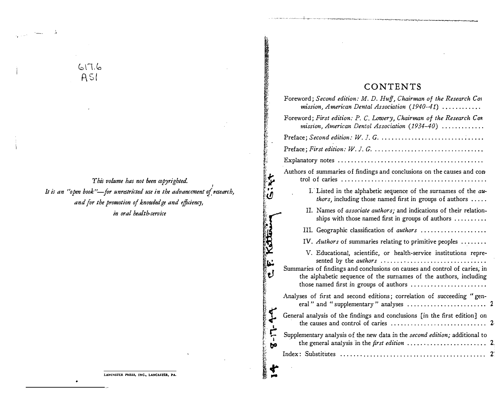# $d.71d$  $ASI$

This volume has not been copyrighted. It is an "open book"-for unrestricted use in the advancement of research, and for the promotion of knowledge and efficiency, in oral health-service

# CONTENTS

のまた こうしょう こうさん

医皮肤

**CIRT** 

نا<br>ن

ぐ

 $5 - 17$ 

**REAL PROPERTY**  $\ddot{4}$ 

| Foreword; Second edition: M. D. Huff, Chairman of the Research Con<br>mission, American Dental Association (1940-41) $\ldots \ldots \ldots$                                                                                                         |  |  |  |  |  |  |
|-----------------------------------------------------------------------------------------------------------------------------------------------------------------------------------------------------------------------------------------------------|--|--|--|--|--|--|
| Foreword; First edition: P. C. Lowery, Chairman of the Research Con<br>mission, American Dental Association (1934-40)                                                                                                                               |  |  |  |  |  |  |
|                                                                                                                                                                                                                                                     |  |  |  |  |  |  |
|                                                                                                                                                                                                                                                     |  |  |  |  |  |  |
|                                                                                                                                                                                                                                                     |  |  |  |  |  |  |
| Authors of summaries of findings and conclusions on the causes and con-                                                                                                                                                                             |  |  |  |  |  |  |
| I. Listed in the alphabetic sequence of the surnames of the au-<br><i>thors</i> , including those named first in groups of authors $\ldots$ .                                                                                                       |  |  |  |  |  |  |
| II. Names of associate authors; and indications of their relation-<br>ships with those named first in groups of authors                                                                                                                             |  |  |  |  |  |  |
| III. Geographic classification of authors                                                                                                                                                                                                           |  |  |  |  |  |  |
| IV. Authors of summaries relating to primitive peoples $\dots\dots$                                                                                                                                                                                 |  |  |  |  |  |  |
| V. Educational, scientific, or health-service institutions repre-<br>sented by the <i>authors</i><br>Summaries of findings and conclusions on causes and control of caries, in<br>the alphabetic sequence of the surnames of the authors, including |  |  |  |  |  |  |
| Analyses of first and second editions; correlation of succeeding "gen-<br>eral" and "supplementary" analyses                                                                                                                                        |  |  |  |  |  |  |
| General analysis of the findings and conclusions [in the first edition] on<br>the causes and control of caries                                                                                                                                      |  |  |  |  |  |  |
| Supplementary analysis of the new data in the second edition; additional to<br>the general analysis in the first edition                                                                                                                            |  |  |  |  |  |  |
|                                                                                                                                                                                                                                                     |  |  |  |  |  |  |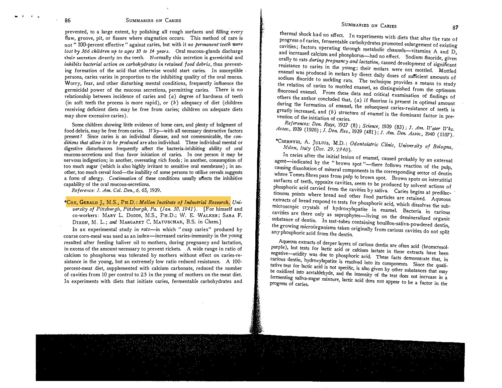# SUMMARIES ON CARIES 87

# 86 SUMMARIES ON CARIES

prevented, to a large extent, by polishing all rough surfaces and filling every flaw, groove, pit, or fissure where stagnation occurs. This method of care is not " 100-percent effective " against caries, but with it no permanent teeth were lost by  $366$  children up to ages 10 to 14 years. Oral mucous-glands discharge their secretion directly on the teeth. Normally this secretion is germicidal and inhibits bacterial action on carbohydrates in retained food debris, thus preventing formation of the acid that otherwise would start caries. In susceptible persons, caries varies in proportion to the inhibiting quality of the oral mucus. Worry, fear, and other disturbing mental conditions, frequently influence the germicidal power of the mucous secretions, permitting caries. There is no relationship between incidence of caries and  $(a)$  degree of hardness of teeth (in soft teeth the process is more rapid), or  $(b)$  adequacy of diet (children receiving deficient diets may be free from caries; children on adequate diets may show excessive caries).

Some children showing little evidence of home care, and plenty of lodgment of food debris, may be free from caries.  $Why$ —with all necessary destructive factors present ? Since caries is an individual disease, and not communicable, the conditions that allow it to be produced are also individual. These individual mental or digestive disturbances frequently affect the bacteria-inhibiting ability of oral mucous-secretions and thus favor initiation of caries. In one person it may be nervous indigestion; in another, overeating rich foods ; in another, consumption of too much sugar ' (which is also highly irritant to sensitive oral membrane) ; in another, too much cereal food—the inability of some persons to utilize cereals suggests a form of allergy. Continuation of these conditions usually affects the inhibitive capability of the oral mucous-secretions.

Reference: J. Am. Col. Den., 6, 65, 1939.

\*Cox, GERALD J., M.S., PH.D. : Mellon Institute of Industrial Research, University of Pittsburgh, Pittsburgh, Pa. (Jan. 30, 1941). [For himself and co-workers: MARY L. Dodds, M.S., PH.D.; W. E. WALKER; SARA F. DIXON, M. L.; and MARGARET C. MATUSCHAK, B.S. in Chem.]

In an experimental study in rats-in which " cusp caries" produced by coarse corn-meal was used as an index-increased caries-immunity in the young resulted after feeding haliver oil to mothers, during pregnancy and lactation, in excess of the amount necessary to prevent rickets. A wide range in ratio of calcium to phosphorus was tolerated by mothers without effect on caries-resistance in the young, but an extremely low ratio reduced resistance. A 100 percent-meat diet, supplemented with calcium carbonate, reduced the number of cavities from 10 per control to 2.5 in the young of mothers on the meat diet. In experiments with diets that initiate caries, fermentable carbohydrates and

progress of caries, fermentable carbohydrates promoted enlargement of existing<br>cavities; factors operating through metabolic channels—witoming A and D thermal shock had no effect. In experiments with diets that alter the rate of cavities; factors operating through metabolic channels—vitamins A and D,<br>and increased calcium and phosphorus had used that the minimis A and D, and increased calcium and phosphorus-had no effect. Sodium fluoride, given and increased calcium and phosphorus-had no effect. Sodium fluoride, given<br>orally to rats during pregnancy and lactation, caused development of significant<br>resistance to caries in the voung their molars was enamel was resistance to caries in the young; their molars were not mottled. Mottled<br>enamel was produced in molars by direct daily doses of sufficient amounts of<br>sodium fluoride to suckling rats. The technique provides soutum nuoride to suckling rats. The technique provides a means to study the relation of caries to mottled enamel, as distinguished from the optimum<br>fluorosed enamel. From these data and whit is interested from the optimum others the author concluded that,  $(a)$  if fluorine is present in optimal amount fluorosed enamel. From these data and critical examination of findings of during the formation of enamel, the subsequent caries-resistance of teeth is greatly increased, and  $(b)$  structure of enamel is the dominant factor in prevention of the initiation of caries

References: Den. Rays, 1937 (8); Science, 1939 (83); J. Am. Water Wks.<br>Assoc., 1939 (1926); J. Den. Res., 1939 (481); J. Am. Den. Assoc., 1940 (1107). References: Den. Rays, 1937 (8); Science, 1939 (83); J. Am. Water Wks.

\*CsERNYEI, A. ]uLrus, M.D. : Odontoiatric Clinic, University of Bologna, Italy (Dec. 29, 1940). Milan, Italy (Dec. 29, 1940).

agent—indicated In caries after the initial lesion of enamel, caused probably by an external causing dissolution of mineral components in the corresponding sector of dentin<br>where Tomes fibres pass from pulp to brown spot. Brown spots on interstitial where I onles hores pass from pulp to brown spot. Brown spots on interstitial<br>surfaces of teeth, opposite cavities, seem to be produced by solvent actions of<br>phosphoric acid carried from the cavities  $k = 0$ . phosphoric acid carried from the cavities by saliva. Caries begins at predilec-<br>tionous points where bread and other front tionous points where bread and other food particles are retained. Aqueous extracts of bread respond to tests for phosphoric acid, which dissolves the subextracts of bread respond to tests for phosphoric acid, which dissolves the sub-<br>microscopic crystals of hydroxylapatite in enamel. Bacteria in carious<br>cavities are there only as saprophytes—living on the demineralized cry cavities are there only as saprophytes—living on the demineralized organic substance of dentin. In test-tubes containing bouillon-saliva-powdered dentin, any phosphoric acid from the dentin. the growing microörganisms taken originally from carious cavities do not split

Aqueous extracts of deeper layers of carious dentin are often acid (bromcresolpurple), but tests for lactic acid or calcium lactate in these extracts have been<br>negative—acidity was due to phosphoric acid. These facts demonstrate that, in negative—acidity was due to phosphoric acid. These facts demonstrate that, in carious dentin, hydroxylapatite is resolved into its components. Since the quali-<br>tative test for lactic acid is not specific, is also given by the oxidized into acetaldehyde, and the intensity of the test does not specific that may be oxidized into acetaldehyde, and the intensity of the test does not increase in a fermenting saliva-sugar mixture, lactic acid does progress of caries. lactic acid does not appear to be a factor in the

 $\mathbf{r}$  . The set of  $\mathbf{r}$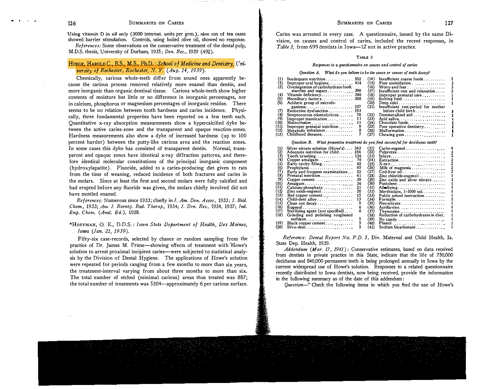#### SUMMARIES ON CARIES 127

### 126 SUMMARIES ON CARIES

Using vitamin D in oil only (3000 internat. units per grm.), nine out of ten cases showed barrier stimulation. Controls, using boiled olive oil, showed no response.

References: Some observations on the conservative treatment of the dental pulp, M.D.S. thesis, University of Durham, 1935 ; Den. Rec., 1939 (492).

# HODGE, HAROLD C., B.S., M.S., Ph.D. : School of Medicine and Dentistry, University of Rochester, Ro<sup>c</sup>hester, N. Y. (Aug. 14, 1939).

Chemically, carious whole-teeth differ from sound ones apparently because the carious process removed relatively more enamel than dentin, and more inorganic than organic dentinal tissue. Carious whole-teeth show higher contents of moisture but little or no difference in inorganic percentages, nor in calcium, phosphorus or magnesium percentages of inorganic residue. There seems to be no relation between tooth hardness and caries incidence. Physically, three fundamental properties have been reported on a few teeth each. Quantitative x-ray absorption measurements show a hypercalcified dyke between the active caries-zone and the transparent and opaque reaction-zones, Hardness measurements also show a dyke of increased hardness (up to 100 percent harder) between the putty-like carious area and the reaction zones. In some cases this dyke has consisted of transparent dentin. Normal, transparent and opaque zones have identical x-ray diffraction patterns, and therefore identical molecular constitutions of the principal inorganic component (hydroxylapatite). Fluoride, added to a caries-producing diet given to rats from the time of weaning, reduced incidence of both fractures and caries in the molars. Since at least the first and second molars were fully calcified and had erupted before any fluoride was given, the molars chiefly involved did not have mottled enamel.

References: Numerous since 1933; chiefly in J. Am. Den. Assoc., 1933; J. Biol. Chem., 1933; Am. J. Roentg. Rad. Therap., 1934; J. Den. Res., 1934, 1937; Ind. Eng. Chem. (Anal. Ed.), 1938.

\*HOFFMAN, O. E., D.D.S.: Iowa State Department of Health, Des Moines, Iowa (Jan. 21, 1939).

Fifty-six case-records, selected by chance or random sampling from the practice of Dr. James M. Prime-showing effects of treatment with Howe's solution to arrest proximal incipient caries-were subjected to statistical analysis by the Division of Dental Hygiene. The applications of Howe's solution were repeated for periods ranging from a few months to more than six years, the treatment-interval varying from about three months to more than six. The total number of etched (minimal carious) areas thus treated was 887; the total number of treatments was 5304--approximately 6 per carious surface.

Caries was arrested in every case. A questionnaire, issued by the same Division, on causes and control of caries, included the recent responses, in Table 3, from 699 dentists in Iowa-12 not in active practice.

#### TABLE 3

# Responses to a questionnaire on causes and control of caries

#### Ouestion  $A$ . What do you believe to be the cause or causes of tooth decay?

| $\binom{1}{2}$<br>(3)                                     | Inadequate nutrition $502$<br>Improper oral hygiene 414<br>Overingestion of carbohydrate food, | (14)<br>(15)<br>(16) | Insufficient coarse foods<br>Poor assimilation $\cdots$ . $\cdots$<br>Worry and fear |
|-----------------------------------------------------------|------------------------------------------------------------------------------------------------|----------------------|--------------------------------------------------------------------------------------|
|                                                           | starches and sugars $390$                                                                      | (17)                 | Insufficient rest and relaxation                                                     |
| (4)                                                       | Vitamin deficiency 386                                                                         | (18)                 | Improper prenatal care $\dots\dots\dots$                                             |
| $\binom{5}{6}$                                            |                                                                                                | (19)                 | Bolting food                                                                         |
|                                                           | Aciduric group of microör-                                                                     | 20)                  |                                                                                      |
|                                                           | ganisms 257                                                                                    | (21)                 | Insufficient rest-period for mother                                                  |
| (7)                                                       | Endocrine dysfunction 193                                                                      |                      | before child birth                                                                   |
|                                                           | Streptococcus odontolyticus 70                                                                 | (22)                 | Demineralized soil                                                                   |
|                                                           | Improper mastication                                                                           | (23)                 | Acid saliva                                                                          |
|                                                           | Malocclusion 11                                                                                | (24)                 | $Chocolate foods \ldots \ldots \ldots \ldots$                                        |
| $\begin{pmatrix} 8 \ 8 \ 9 \end{pmatrix}$<br>(10)<br>(11) | Improper prenatal nutrition                                                                    | (25)                 | Poor operative dentistry                                                             |
| (12)                                                      | Metabolic imbalance                                                                            | (26)                 | Malformation                                                                         |
| (13)                                                      | Childhood diseases                                                                             | (27)                 | Chewing gum                                                                          |

#### Question B. What preventive treatment do you find successful for deciduous teeth?

|      | Silver nitrate solution $(Howe's) \dots 343$  |    | (21) | Carbo-eugenol                       |
|------|-----------------------------------------------|----|------|-------------------------------------|
|      | Adequate nutrition for child 256              |    | (22) | Pulprotex                           |
| (3)  |                                               |    | (23) |                                     |
| 4)   |                                               | 76 | (24) |                                     |
|      | Copper amalgam                                |    |      |                                     |
| 3)   | Early cavity filling                          | 65 | (25) |                                     |
| 36)  | Prophylaxis                                   | 65 | (26) | Milk of magnesia                    |
|      | Early and frequent examinations               | 52 | (27) | Cod-liver oil                       |
| (8)  | Prenatal nutrition                            | 41 | (28) | Zinc chloride-eugenol               |
| (9)  | Copper cement                                 | 39 | (29) | Zinc oxide and silver nitrate       |
| (10) | Amalgam                                       | 34 | (30) | Pustolene                           |
| (11) | Calcium-phosphate                             | 21 | (31) | Alle alizing                        |
| (12) | Zinc oxide-eugenol                            | 20 | (32) | Merthiolate, $1-1000$ sol           |
| (13) | Red copper cement                             | 15 | (33) | Public school instruction           |
| (14) | Child-dent alloy                              | 13 | (34) | $\textbf{Formula}$                  |
| (15) | Clean out $decay \ldots \ldots \ldots \ldots$ |    | (35) | Neo-siltrate                        |
| (16) | Eugenol                                       |    | (36) | Acriflavine                         |
| (17) | Sterilizing agent (not specified)             |    | (37) |                                     |
|      |                                               |    |      | Thymozine                           |
| (18) | Grinding and polishing roughened              |    | (38) | Reduction of carbohydrates in diet. |
|      | $surfaces \ldots \ldots \ldots \ldots \ldots$ |    | (39) | No candy                            |
| (19) | Black copper cement                           |    | (40) |                                     |
| (20) | Silvo-dent                                    |    | (41) | Sodium bicarbonate                  |

Reference: Dental Report No. P.D, 5, Div, Maternal and Child Health, Ia. State Dep. Health, 1939,

Addendum (Mar. 17, 1941): Conservative estimates, based on data received from dentists in private practice in this State, indicate that the life of 750,000 deciduous and 840,000 permanent teeth is being prolonged annually in Iowa by the current widespread use of Howe's solution. Responses to a related questionnaire recently distributed to Iowa dentists, now being received, provide the information in the following summary as of the date of this addendum :

Question-" Check the following items in which you find the use of Howe's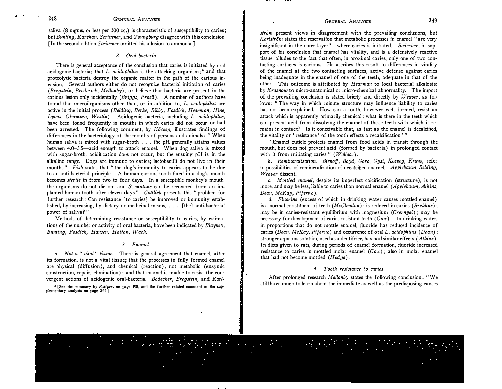### GENERAL ANALYSIS 249

saliva (8 mgms. or less per 100 cc.) is characteristic of susceptibility to caries; but Bunting, Karshan, Scrivener, and Young burg disagree with this conclusion. [In the second edition Scrivener omitted his allusion to ammonia.]

### 2. Oral bacteria

There is general acceptance of the conclusion that caries is initiated by oral acidogenic bacteria; that L.  $acidophilus$  is the attacking organism;<sup>6</sup> and that proteolytic bacteria destroy the organic matter in the path of the carious invasion. Several authors either do not recognize bacterial initiation of caries (Bregstein, Broderick, Mellanby), or believe that bacteria are present in the carious lesion only incidentally (Briggs, Proell). A number of authors have found that microörganisms other than, or in addition to,  $L$ . acidophilus are active in the initial process (Belding, Berke, Bibby, Fosdick, Hearman, Hine, Lyons, Okumura, Westin). Acidogenic bacteria, including L. acidophilus, have been found frequently in mouths in which caries did not occur or had been arrested. The following comment, by  $K\ddot{o} szeq$ , illustrates findings of differences in the bacteriology of the mouths of persons and animals : " When human saliva is mixed with sugar-broth  $\ldots$  the pH generally attains values between 4.0-5.5-acid enough to attack enamel. When dog saliva is mixed with sugar-broth, acidification docs not occur, but the ensuing pH is in the alkaline range. Dogs are immune to caries; lactobacilli do not live in their mouths." Fish states that " the dog's immunity to caries appears to be due to an anti-bacterial principle. A human carious tooth fixed in a dog's mouth becomes sterile in from two to four days. In a susceptible monkey's mouth the organisms do not die out and S. mutans can be recovered from an implanted human tooth after eleven days." Gottlieb presents this " problem for further research : Can resistance [to caries] be improved or immunity established, by increasing, by dietary or medicinal means, ... [the] anti-bacterial power of saliva?"

Methods of determining resistance or susceptibility to caries, by estimations of the number or activity of oral bacteria, have been indicated by Blayney, Bunting, Fosdick, Hansen, Hatton, Wach.

#### 3. Enamel

a. Not a " vital" tissue. There is general agreement that enamel, after its formation, is not a vital tissue; that the processes in fully formed enamel are physical (diffusion), and chemical (reaction), not metabolic (enzymic construction, repair, elimination) ; and that enamel is unable to resist the convergent actions of acidogenic oral-bacteria. Bodecker, Bregstein, and Karl-

<sup>6</sup> [See the summary by Rettger, on page 198, and the further related comment in the supplementary analysis on page 264.]

ström present views in disagreement with the prevailing conclusions, but Karlström states the reservation that metabolic processes in enamel "are very insignificant in the outer layer"—where caries is initiated. Bodecker, in support of his conclusion that enamel has vitality, and is a defensively reactive tissue, alludes to the fact that often, in proximal caries, only one of two contacting surfaces is carious. He ascribes this result to differences in vitality of the enamel at the two contacting surfaces, active defense against caries being inadequate in the enamel of one of the teeth, adequate in that of the other. This outcome is attributed by *Hearman* to local bacterial alkalosis; by Krasnow to micro-anatomical or micro-chemical abnormality. The import of the prevailing conclusion is stated briefly and directly by  $Weaver$ , as follows : " The way in which minute structure may influence liability to caries has not been explained. How can a tooth, however well formed, resist an attack which is apparently primarily chemical ; what is there in the teeth which can prevent acid from dissolving the enamel of those teeth with which it remains in contact? Is it conceivable that, as fast as the enamel is decalcified, the vitality or ' resistance ' of the tooth effects a recalcification ?"

" Enamel cuticle protects enamel from food acids in transit through the mouth, but does not prevent acid (formed by bacteria) in prolonged contact with it from initiating caries " ( $Wallace$ ).

b. Remineralization. Bisnoff, Boyd, Gore, Gysi, Köszeg, Kraus, reter to possibilities of remineralization of decalcified enamel. *Applebaum, Belding,* Weaver dissent.

c. Mottled enamel, despite its imperfect calcification (structure), is not more, and may be less, liable to caries than normal enamel  $(Aphlebaum, Atkins,$ Dean, McKay, Piperno).

d. Fluorine (excess of which in drinking water causes mottled enamel) is a normal constituent of teeth  $(McClendon)$ ; is reduced in caries  $(Brekhus)$ ; may be in caries-resistant equilibrium with magnesium (Csernyei); may be necessary for development of caries-resistant teeth  $(Cox)$ . In drinking water, in proportions that do not mottle enamel, fluoride has reduced incidence of caries (Dean, McKay, Piperno) and occurrence of oral L. acidophilus (Dean); stronger aqueous solution, used as a dentifrice, has had similar effects  $(Atkins)$ . In diets given to rats, during periods of enamel formation, fluoride increased resistance to caries in mottled molar enamel  $(Cox)$ ; also in molar enamel that had not become mottled  $(Hodge)$ .

#### 4. Tooth resistance to caries

After prolonged research Mellanby states the following conclusion: "We still have much to learn about the immediate as well as the predisposing causes